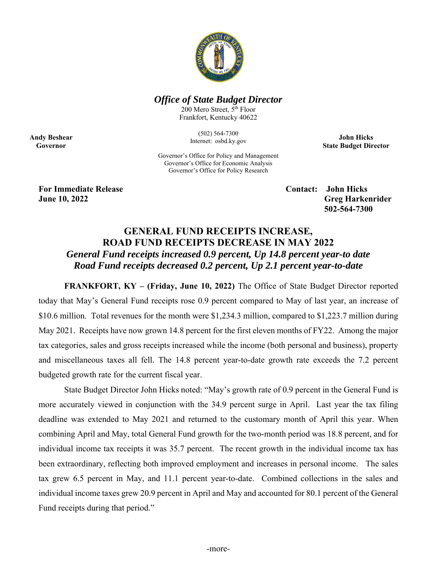

## *Office of State Budget Director*

200 Mero Street, 5<sup>th</sup> Floor Frankfort, Kentucky 40622

> (502) 564-7300 Internet: osbd.ky.gov

**John Hicks State Budget Director** 

Governor's Office for Policy and Management Governor's Office for Economic Analysis Governor's Office for Policy Research

**For Immediate Release Contact: John Hicks** 

**Andy Beshear Governor** 

> **June 10, 2022 Greg Harkenrider Greg Harkenrider Greg Harkenrider 502-564-7300**

## **GENERAL FUND RECEIPTS INCREASE, ROAD FUND RECEIPTS DECREASE IN MAY 2022**  *General Fund receipts increased 0.9 percent, Up 14.8 percent year-to date Road Fund receipts decreased 0.2 percent, Up 2.1 percent year-to-date*

**FRANKFORT, KY – (Friday, June 10, 2022)** The Office of State Budget Director reported today that May's General Fund receipts rose 0.9 percent compared to May of last year, an increase of \$10.6 million. Total revenues for the month were \$1,234.3 million, compared to \$1,223.7 million during May 2021. Receipts have now grown 14.8 percent for the first eleven months of FY22. Among the major tax categories, sales and gross receipts increased while the income (both personal and business), property and miscellaneous taxes all fell. The 14.8 percent year-to-date growth rate exceeds the 7.2 percent budgeted growth rate for the current fiscal year.

State Budget Director John Hicks noted: "May's growth rate of 0.9 percent in the General Fund is more accurately viewed in conjunction with the 34.9 percent surge in April. Last year the tax filing deadline was extended to May 2021 and returned to the customary month of April this year. When combining April and May, total General Fund growth for the two-month period was 18.8 percent, and for individual income tax receipts it was 35.7 percent. The recent growth in the individual income tax has been extraordinary, reflecting both improved employment and increases in personal income. The sales tax grew 6.5 percent in May, and 11.1 percent year-to-date. Combined collections in the sales and individual income taxes grew 20.9 percent in April and May and accounted for 80.1 percent of the General Fund receipts during that period."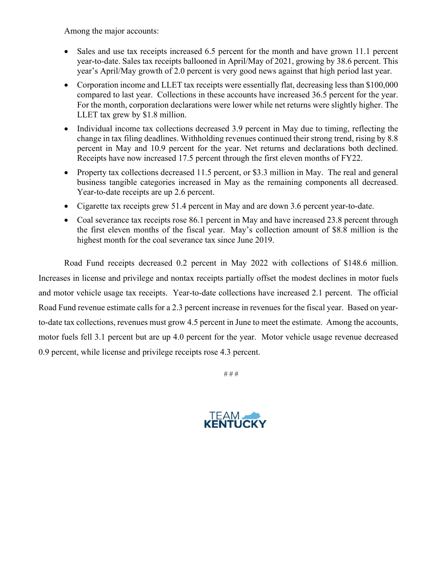Among the major accounts:

- Sales and use tax receipts increased 6.5 percent for the month and have grown 11.1 percent year-to-date. Sales tax receipts ballooned in April/May of 2021, growing by 38.6 percent. This year's April/May growth of 2.0 percent is very good news against that high period last year.
- Corporation income and LLET tax receipts were essentially flat, decreasing less than \$100,000 compared to last year. Collections in these accounts have increased 36.5 percent for the year. For the month, corporation declarations were lower while net returns were slightly higher. The LLET tax grew by \$1.8 million.
- Individual income tax collections decreased 3.9 percent in May due to timing, reflecting the change in tax filing deadlines. Withholding revenues continued their strong trend, rising by 8.8 percent in May and 10.9 percent for the year. Net returns and declarations both declined. Receipts have now increased 17.5 percent through the first eleven months of FY22.
- Property tax collections decreased 11.5 percent, or \$3.3 million in May. The real and general business tangible categories increased in May as the remaining components all decreased. Year-to-date receipts are up 2.6 percent.
- Cigarette tax receipts grew 51.4 percent in May and are down 3.6 percent year-to-date.
- Coal severance tax receipts rose 86.1 percent in May and have increased 23.8 percent through the first eleven months of the fiscal year. May's collection amount of \$8.8 million is the highest month for the coal severance tax since June 2019.

Road Fund receipts decreased 0.2 percent in May 2022 with collections of \$148.6 million. Increases in license and privilege and nontax receipts partially offset the modest declines in motor fuels and motor vehicle usage tax receipts. Year-to-date collections have increased 2.1 percent. The official Road Fund revenue estimate calls for a 2.3 percent increase in revenues for the fiscal year. Based on yearto-date tax collections, revenues must grow 4.5 percent in June to meet the estimate. Among the accounts, motor fuels fell 3.1 percent but are up 4.0 percent for the year. Motor vehicle usage revenue decreased 0.9 percent, while license and privilege receipts rose 4.3 percent.

# # #

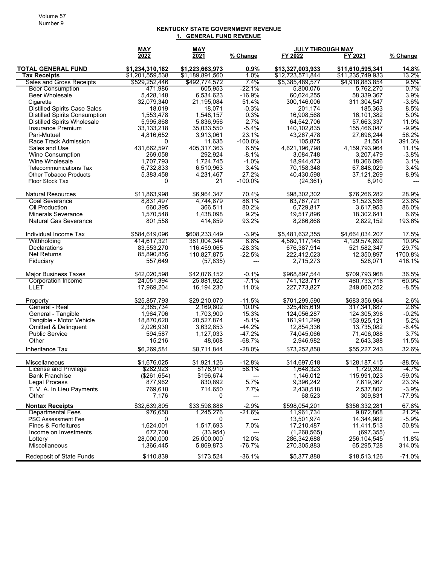## **KENTUCKY STATE GOVERNMENT REVENUE 1. GENERAL FUND REVENUE**

|                                           | <b>MAY</b>             | <b>MAY</b>              |                    | <b>JULY THROUGH MAY</b>    |                           |                        |
|-------------------------------------------|------------------------|-------------------------|--------------------|----------------------------|---------------------------|------------------------|
|                                           | $\frac{2022}{ }$       | 2021                    | % Change           | FY 2022                    | FY 2021                   | % Change               |
| <b>TOTAL GENERAL FUND</b>                 | \$1,234,310,182        | \$1,223,663,973         | 0.9%               | \$13,327,003,933           | \$11,610,595,341          | 14.8%                  |
| <b>Tax Receipts</b>                       | \$1,201,559,538        | \$1,189,891,560         | 1.0%               | \$12,723,571,844           | \$11,235,749,933          | 13.2%                  |
| Sales and Gross Receipts                  | \$529,252,446          | \$492,774,572           | 7.4%               | \$5,385,489,577            | \$4,918,883,854           | 9.5%                   |
| <b>Beer Consumption</b>                   | 471.986                | 605.953                 | $-22.1%$           | 5,800,076                  | 5,762,270                 | $0.7\%$                |
| <b>Beer Wholesale</b>                     | 5,428,148              | 6.534.623               | $-16.9%$           | 60,624,255                 | 58,339,367                | 3.9%                   |
| Cigarette                                 | 32,079,340             | 21,195,084              | 51.4%              | 300,146,006                | 311,304,547               | $-3.6%$                |
| <b>Distilled Spirits Case Sales</b>       | 18,019                 | 18,071                  | $-0.3%$            | 201,174                    | 185,363                   | 8.5%                   |
| <b>Distilled Spirits Consumption</b>      | 1,553,478              | 1,548,157               | 0.3%               | 16,908,568                 | 16,101,382                | 5.0%                   |
| <b>Distilled Spirits Wholesale</b>        | 5,995,868              | 5,836,956               | 2.7%               | 64,542,706                 | 57,663,337                | 11.9%                  |
| Insurance Premium                         | 33, 133, 218           | 35,033,550              | $-5.4%$            | 140, 102, 835              | 155,466,047               | $-9.9%$                |
| Pari-Mutuel                               | 4,816,652              | 3,913,061               | 23.1%              | 43,267,478                 | 27,696,244                | 56.2%                  |
| Race Track Admission                      | 0                      | 11,635                  | $-100.0\%$         | 105,875                    | 21,551                    | 391.3%                 |
| Sales and Use                             | 431,662,597            | 405,317,363             | 6.5%               | 4,621,196,798              | 4,159,793,964             | 11.1%                  |
| <b>Wine Consumption</b><br>Wine Wholesale | 269,058                | 292,924                 | $-8.1%$<br>$-1.0%$ | 3,084,748                  | 3,207,479                 | $-3.8%$<br>3.1%        |
| <b>Telecommunications Tax</b>             | 1,707,793<br>6,732,833 | 1,724,745<br>6,510,963  | 3.4%               | 18,944,473<br>70,158,348   | 18,366,096<br>67,848,029  | 3.4%                   |
| <b>Other Tobacco Products</b>             | 5,383,458              | 4,231,467               | 27.2%              | 40,430,598                 | 37,121,269                | 8.9%                   |
| Floor Stock Tax                           | 0                      | 21                      | $-100.0%$          | (24, 361)                  | 6,910                     | $\qquad \qquad \cdots$ |
|                                           |                        |                         |                    |                            |                           |                        |
| <b>Natural Resources</b>                  | \$11,863,998           | \$6,964,347             | 70.4%              | \$98,302,302               | \$76.266.282              | 28.9%                  |
| Coal Severance                            | 8,831,497              | 4.744.879               | 86.1%              | 63,767,721                 | 51,523,536                | 23.8%                  |
| Oil Production                            | 660,395                | 366,511                 | 80.2%              | 6,729,817                  | 3,617,953                 | 86.0%                  |
| <b>Minerals Severance</b>                 | 1,570,548              | 1,438,098               | 9.2%               | 19,517,896                 | 18,302,641                | 6.6%                   |
| <b>Natural Gas Severance</b>              | 801,558                | 414,859                 | 93.2%              | 8,286,868                  | 2,822,152                 | 193.6%                 |
| Individual Income Tax                     | \$584,619,096          | \$608,233,449           | $-3.9%$            | \$5.481.632.355            | \$4,664,034,207           | 17.5%                  |
| Withholding                               | 414,617,321            | 381,004,344             | 8.8%               | 4,580,117,145              | 4,129,574,892             | 10.9%                  |
| <b>Declarations</b>                       | 83,553,270             | 116,459,065             | $-28.3%$           | 676,387,914                | 521,582,347               | 29.7%                  |
| <b>Net Returns</b>                        | 85,890,855             | 110,827,875             | $-22.5%$           | 222,412,023                | 12,350,897                | 1700.8%                |
| Fiduciary                                 | 557,649                | (57, 835)               | ---                | 2,715,273                  | 526,071                   | 416.1%                 |
| <b>Major Business Taxes</b>               | \$42,020,598           | \$42,076,152            | $-0.1%$            | \$968,897,544              | \$709,793,968             | 36.5%                  |
| <b>Corporation Income</b>                 | 24,051,394             | 25,881,922              | $-7.1%$            | 741, 123, 717              | 460,733,716               | 60.9%                  |
| LLET                                      | 17,969,204             | 16,194,230              | 11.0%              | 227,773,827                | 249,060,252               | $-8.5%$                |
| Property                                  | \$25,857,793           | \$29,210,070            | $-11.5%$           | \$701,299,590              | \$683,356,964             | 2.6%                   |
| General - Real                            | 2,385,734              | 2,169,802               | 10.0%              | 325,485,619                | 317,341,887               | 2.6%                   |
| General - Tangible                        | 1,964,706              | 1,703,900               | 15.3%              | 124,056,287                | 124,305,398               | $-0.2%$                |
| Tangible - Motor Vehicle                  | 18,870,620             | 20,527,874              | $-8.1%$            | 161,911,299                | 153,925,121               | 5.2%                   |
| Omitted & Delinquent                      | 2,026,930              | 3,632,853               | $-44.2%$           | 12,854,336                 | 13,735,082                | $-6.4%$                |
| <b>Public Service</b>                     | 594,587                | 1,127,033               | $-47.2%$           | 74,045,066                 | 71,406,088                | 3.7%                   |
| Other                                     | 15,216                 | 48,608                  | $-68.7%$           | 2,946,982                  | 2,643,388                 | 11.5%                  |
| Inheritance Tax                           | \$6,269,581            | \$8,711,844             | $-28.0%$           | \$73,252,858               | \$55,227,243              | 32.6%                  |
| Miscellaneous                             | \$1,676,025            | \$1,921,126             | $-12.8%$           | \$14,697,618               | \$128,187,415             | $-88.5%$               |
| License and Privilege                     | \$282,923              | \$178,910               | 58.1%              | 1,648,323                  | 1,729,392                 | $-4.7%$                |
| <b>Bank Franchise</b>                     | (\$261, 654)           | \$196,674               |                    | 1,146,012                  | 115,991,023               | $-99.0\%$              |
| <b>Legal Process</b>                      | 877,962                | 830,892                 | 5.7%               | 9,396,242                  | 7,619,367                 | 23.3%                  |
| T. V. A. In Lieu Payments                 | 769,618                | 714,650                 | 7.7%               | 2,438,518                  | 2,537,802                 | $-3.9%$                |
| Other                                     | 7,176                  | 0                       | ---                | 68,523                     | 309,831                   | $-77.9%$               |
| <b>Nontax Receipts</b>                    | \$32,639,805           | \$33,598,888            | $-2.9%$            | \$598,054,201              | \$356,332,281             | 67.8%                  |
| <b>Departmental Fees</b>                  | 976.650                | 1,245,276               | $-21.6%$           | 11,961,734                 | 9,872,868                 | 21.2%                  |
| <b>PSC Assessment Fee</b>                 | 0                      | 0                       | ---                | 13,501,974                 | 14,344,982                | $-5.9%$                |
| Fines & Forfeitures                       | 1,624,001              | 1,517,693               | 7.0%               | 17,210,487                 | 11,411,513                | 50.8%                  |
| Income on Investments<br>Lottery          | 672,708<br>28,000,000  | (33, 954)<br>25,000,000 | ---<br>12.0%       | (1,268,565)<br>286,342,688 | (697, 355)<br>256,104,545 | 11.8%                  |
| Miscellaneous                             | 1,366,445              | 5,869,873               | $-76.7%$           | 270,305,883                | 65,295,728                | 314.0%                 |
| Redeposit of State Funds                  | \$110,839              | \$173,524               | $-36.1%$           | \$5,377,888                | \$18,513,126              | $-71.0%$               |
|                                           |                        |                         |                    |                            |                           |                        |